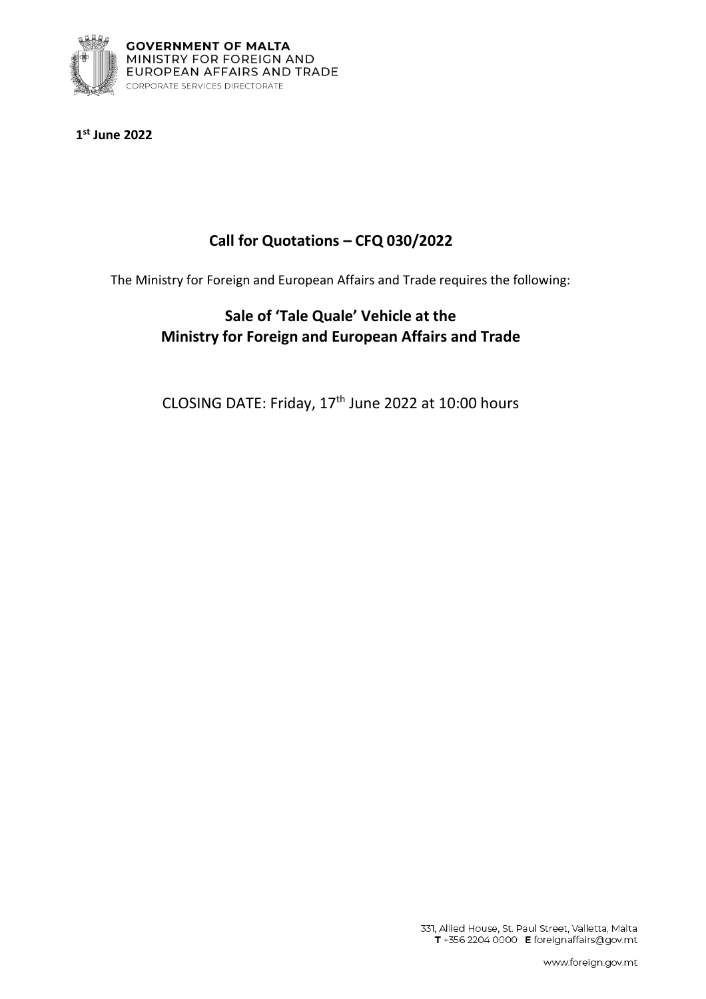

**1 st June 2022**

# **Call for Quotations – CFQ 030/2022**

The Ministry for Foreign and European Affairs and Trade requires the following:

# **Sale of 'Tale Quale' Vehicle at the Ministry for Foreign and European Affairs and Trade**

CLOSING DATE: Friday, 17th June 2022 at 10:00 hours

331, Allied House, St. Paul Street, Valletta, Malta T +356 2204 0000 E foreignaffairs@gov.mt

www.foreign.gov.mt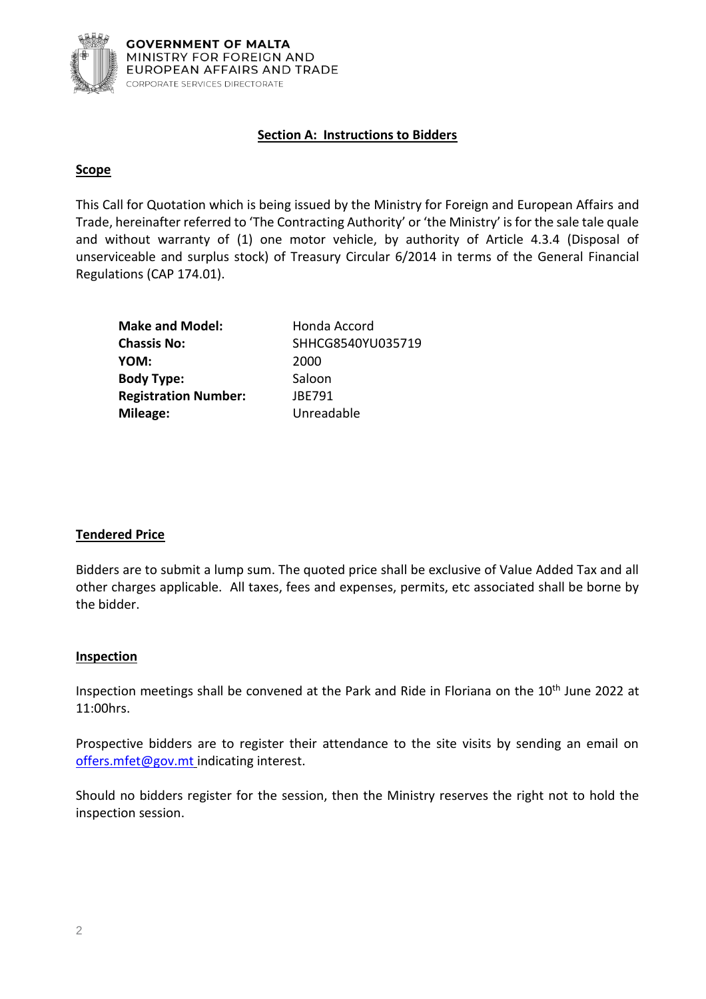

## **Section A: Instructions to Bidders**

### **Scope**

This Call for Quotation which is being issued by the Ministry for Foreign and European Affairs and Trade, hereinafter referred to 'The Contracting Authority' or 'the Ministry' is for the sale tale quale and without warranty of (1) one motor vehicle, by authority of Article 4.3.4 (Disposal of unserviceable and surplus stock) of Treasury Circular 6/2014 in terms of the General Financial Regulations (CAP 174.01).

| <b>Make and Model:</b>      | Honda Accord      |
|-----------------------------|-------------------|
| <b>Chassis No:</b>          | SHHCG8540YU035719 |
| YOM:                        | 2000              |
| <b>Body Type:</b>           | Saloon            |
| <b>Registration Number:</b> | JBE791            |
| Mileage:                    | Unreadable        |

### **Tendered Price**

Bidders are to submit a lump sum. The quoted price shall be exclusive of Value Added Tax and all other charges applicable. All taxes, fees and expenses, permits, etc associated shall be borne by the bidder.

### **Inspection**

Inspection meetings shall be convened at the Park and Ride in Floriana on the 10<sup>th</sup> June 2022 at 11:00hrs.

Prospective bidders are to register their attendance to the site visits by sending an email on [offers.mfet@gov.mt](mailto:offers.mfet@gov.mt) indicating interest.

Should no bidders register for the session, then the Ministry reserves the right not to hold the inspection session.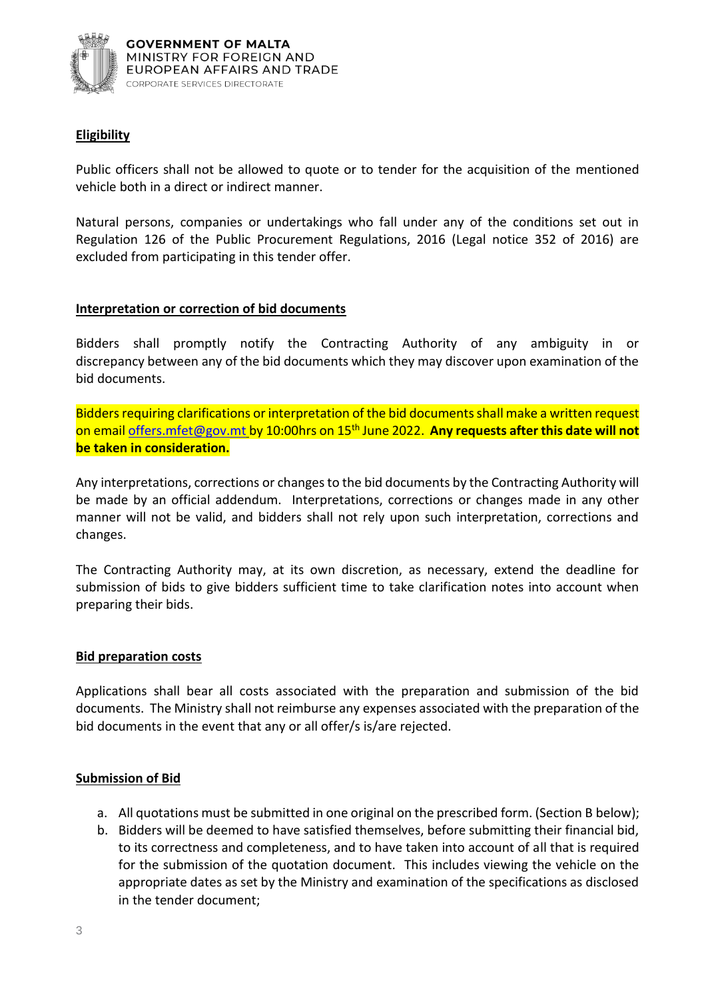

### **Eligibility**

Public officers shall not be allowed to quote or to tender for the acquisition of the mentioned vehicle both in a direct or indirect manner.

Natural persons, companies or undertakings who fall under any of the conditions set out in Regulation 126 of the Public Procurement Regulations, 2016 (Legal notice 352 of 2016) are excluded from participating in this tender offer.

### **Interpretation or correction of bid documents**

Bidders shall promptly notify the Contracting Authority of any ambiguity in or discrepancy between any of the bid documents which they may discover upon examination of the bid documents.

Bidders requiring clarifications or interpretation of the bid documents shall make a written request on email [offers.mfet@gov.mt](mailto:offers.mfet@gov.mt) by 10:00hrs on 15th June 2022. **Any requests after this date will not be taken in consideration.**

Any interpretations, corrections or changes to the bid documents by the Contracting Authority will be made by an official addendum. Interpretations, corrections or changes made in any other manner will not be valid, and bidders shall not rely upon such interpretation, corrections and changes.

The Contracting Authority may, at its own discretion, as necessary, extend the deadline for submission of bids to give bidders sufficient time to take clarification notes into account when preparing their bids.

### **Bid preparation costs**

Applications shall bear all costs associated with the preparation and submission of the bid documents. The Ministry shall not reimburse any expenses associated with the preparation of the bid documents in the event that any or all offer/s is/are rejected.

### **Submission of Bid**

- a. All quotations must be submitted in one original on the prescribed form. (Section B below);
- b. Bidders will be deemed to have satisfied themselves, before submitting their financial bid, to its correctness and completeness, and to have taken into account of all that is required for the submission of the quotation document. This includes viewing the vehicle on the appropriate dates as set by the Ministry and examination of the specifications as disclosed in the tender document;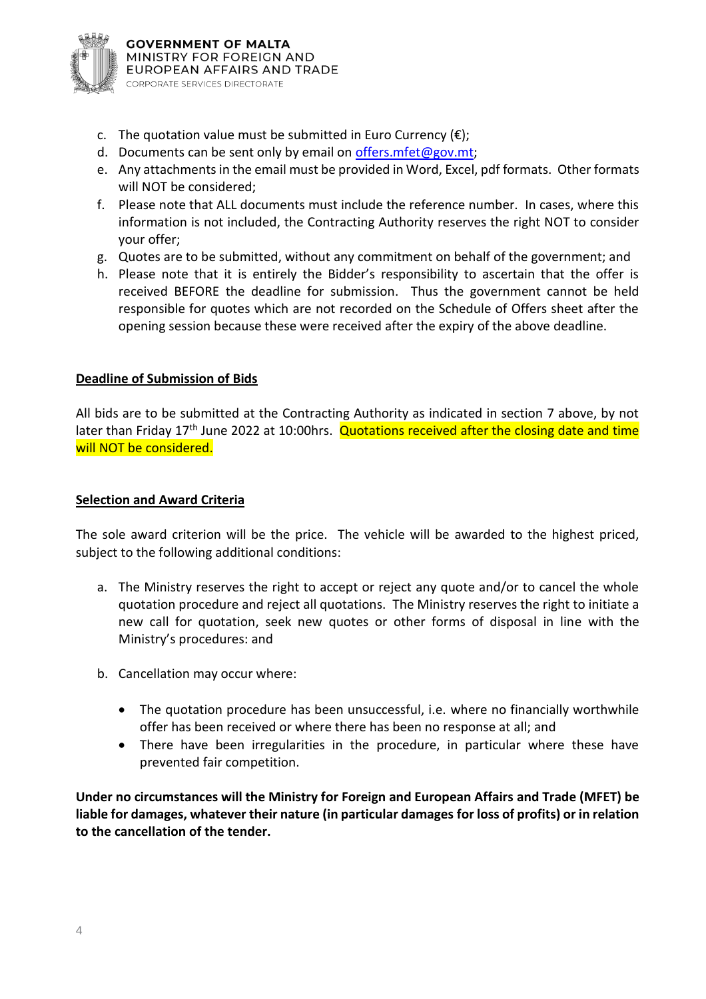

- c. The quotation value must be submitted in Euro Currency  $(\epsilon)$ ;
- d. Documents can be sent only by email on offers. mfet@gov.mt;
- e. Any attachments in the email must be provided in Word, Excel, pdf formats. Other formats will NOT be considered;
- f. Please note that ALL documents must include the reference number. In cases, where this information is not included, the Contracting Authority reserves the right NOT to consider your offer;
- g. Quotes are to be submitted, without any commitment on behalf of the government; and
- h. Please note that it is entirely the Bidder's responsibility to ascertain that the offer is received BEFORE the deadline for submission. Thus the government cannot be held responsible for quotes which are not recorded on the Schedule of Offers sheet after the opening session because these were received after the expiry of the above deadline.

### **Deadline of Submission of Bids**

All bids are to be submitted at the Contracting Authority as indicated in section 7 above, by not later than Friday  $17<sup>th</sup>$  June 2022 at 10:00 hrs. Quotations received after the closing date and time will NOT be considered.

### **Selection and Award Criteria**

The sole award criterion will be the price. The vehicle will be awarded to the highest priced, subject to the following additional conditions:

- a. The Ministry reserves the right to accept or reject any quote and/or to cancel the whole quotation procedure and reject all quotations. The Ministry reserves the right to initiate a new call for quotation, seek new quotes or other forms of disposal in line with the Ministry's procedures: and
- b. Cancellation may occur where:
	- The quotation procedure has been unsuccessful, i.e. where no financially worthwhile offer has been received or where there has been no response at all; and
	- There have been irregularities in the procedure, in particular where these have prevented fair competition.

**Under no circumstances will the Ministry for Foreign and European Affairs and Trade (MFET) be liable for damages, whatever their nature (in particular damages for loss of profits) or in relation to the cancellation of the tender.**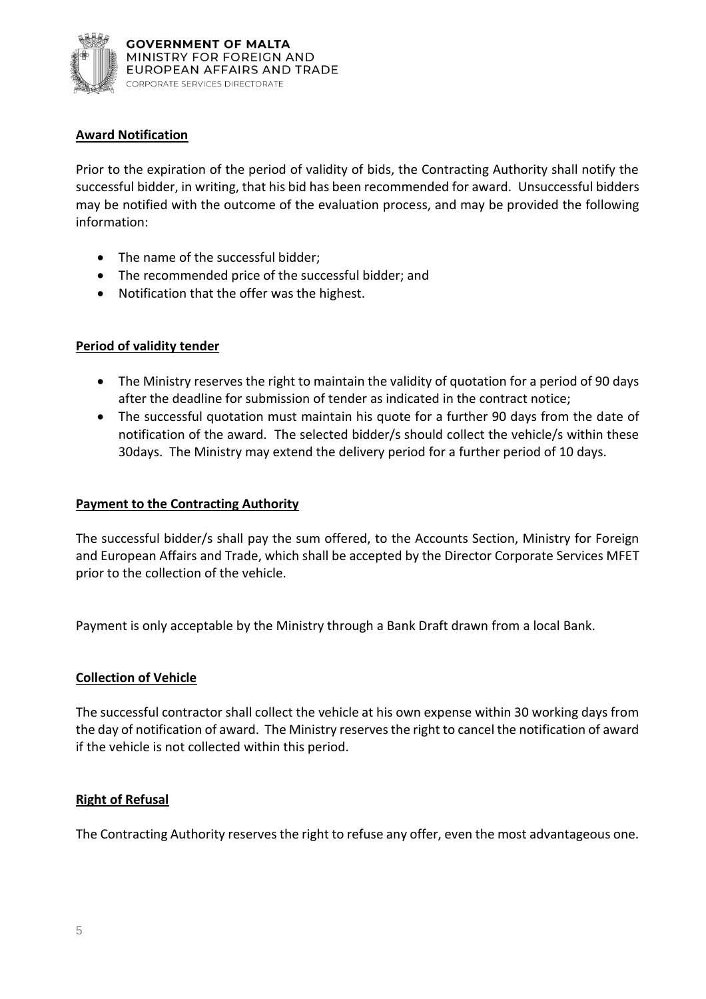

## **Award Notification**

Prior to the expiration of the period of validity of bids, the Contracting Authority shall notify the successful bidder, in writing, that his bid has been recommended for award. Unsuccessful bidders may be notified with the outcome of the evaluation process, and may be provided the following information:

- The name of the successful bidder;
- The recommended price of the successful bidder; and
- Notification that the offer was the highest.

### **Period of validity tender**

- The Ministry reserves the right to maintain the validity of quotation for a period of 90 days after the deadline for submission of tender as indicated in the contract notice;
- The successful quotation must maintain his quote for a further 90 days from the date of notification of the award. The selected bidder/s should collect the vehicle/s within these 30days. The Ministry may extend the delivery period for a further period of 10 days.

#### **Payment to the Contracting Authority**

The successful bidder/s shall pay the sum offered, to the Accounts Section, Ministry for Foreign and European Affairs and Trade, which shall be accepted by the Director Corporate Services MFET prior to the collection of the vehicle.

Payment is only acceptable by the Ministry through a Bank Draft drawn from a local Bank.

#### **Collection of Vehicle**

The successful contractor shall collect the vehicle at his own expense within 30 working days from the day of notification of award. The Ministry reserves the right to cancel the notification of award if the vehicle is not collected within this period.

### **Right of Refusal**

The Contracting Authority reserves the right to refuse any offer, even the most advantageous one.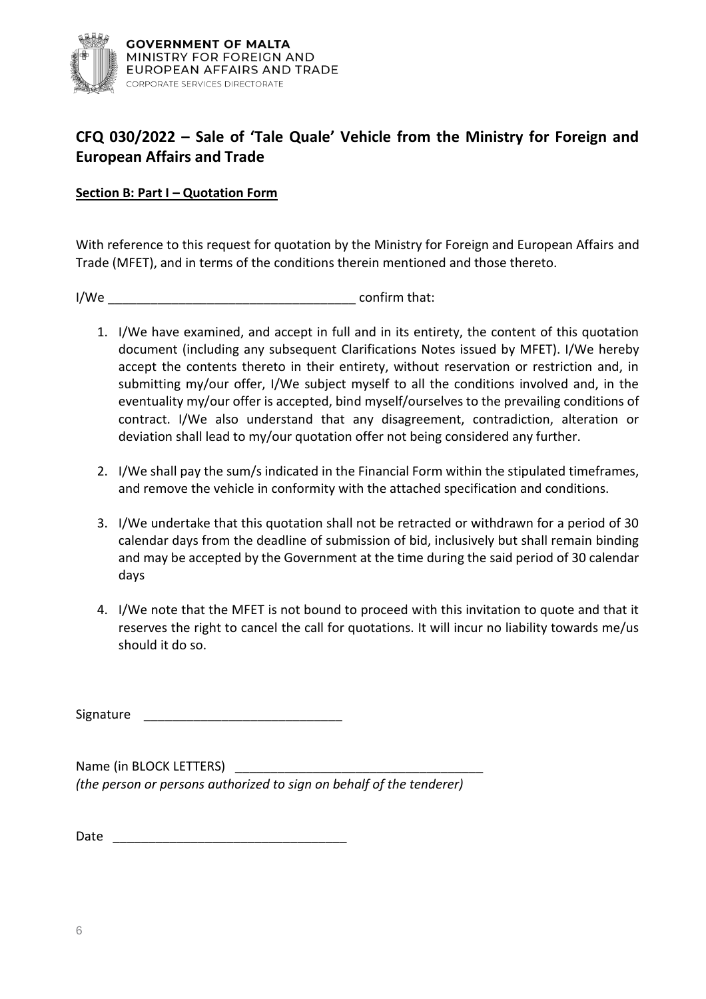

# **CFQ 030/2022 – Sale of 'Tale Quale' Vehicle from the Ministry for Foreign and European Affairs and Trade**

## **Section B: Part I – Quotation Form**

With reference to this request for quotation by the Ministry for Foreign and European Affairs and Trade (MFET), and in terms of the conditions therein mentioned and those thereto.

I/We \_\_\_\_\_\_\_\_\_\_\_\_\_\_\_\_\_\_\_\_\_\_\_\_\_\_\_\_\_\_\_\_\_\_\_ confirm that:

- 1. I/We have examined, and accept in full and in its entirety, the content of this quotation document (including any subsequent Clarifications Notes issued by MFET). I/We hereby accept the contents thereto in their entirety, without reservation or restriction and, in submitting my/our offer, I/We subject myself to all the conditions involved and, in the eventuality my/our offer is accepted, bind myself/ourselves to the prevailing conditions of contract. I/We also understand that any disagreement, contradiction, alteration or deviation shall lead to my/our quotation offer not being considered any further.
- 2. I/We shall pay the sum/s indicated in the Financial Form within the stipulated timeframes, and remove the vehicle in conformity with the attached specification and conditions.
- 3. I/We undertake that this quotation shall not be retracted or withdrawn for a period of 30 calendar days from the deadline of submission of bid, inclusively but shall remain binding and may be accepted by the Government at the time during the said period of 30 calendar days
- 4. I/We note that the MFET is not bound to proceed with this invitation to quote and that it reserves the right to cancel the call for quotations. It will incur no liability towards me/us should it do so.

Signature

Name (in BLOCK LETTERS) *(the person or persons authorized to sign on behalf of the tenderer)*

Date \_\_\_\_\_\_\_\_\_\_\_\_\_\_\_\_\_\_\_\_\_\_\_\_\_\_\_\_\_\_\_\_\_